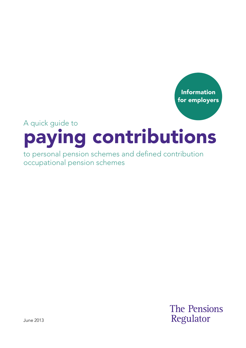

# A quick guide to paying contributions

to personal pension schemes and defined contribution occupational pension schemes

> **The Pensions** Regulator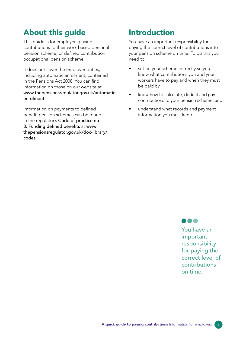# About this guide

This guide is for employers paying contributions to their work-based personal pension scheme, or defned contribution occupational pension scheme.

It does not cover the employer duties, including automatic enrolment, contained in the Pensions Act 2008. You can find information on those on our website at [www.thepensionsregulator.gov.uk/automatic](https://www.thepensionsregulator.gov.uk/en/employers)enrolment.

Information on payments to defned benefit pension schemes can be found in the regulator's Code of practice no 3: Funding defined benefits at www. [thepensionsregulator.gov.uk/doc-library/](https://www.thepensionsregulator.gov.uk/en/document-library/codes-of-practice/code-3-funding-defined-benefits-)  codes.

## Introduction

You have an important responsibility for paying the correct level of contributions into your pension scheme on time. To do this you need to:

- set up your scheme correctly so you know what contributions you and your workers have to pay and when they must be paid by
- know how to calculate, deduct and pay contributions to your pension scheme, and
- understand what records and payment information you must keep.



You have an important responsibility for paying the correct level of contributions on time.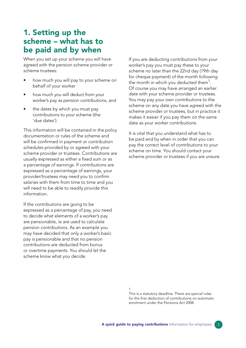#### 1. Setting up the scheme – what has to be paid and by when

When you set up your scheme you will have agreed with the pension scheme provider or scheme trustees:

- how much you will pay to your scheme on behalf of your worker
- how much you will deduct from your worker's pay as pension contributions, and
- the dates by which you must pay contributions to your scheme (the 'due dates').

This information will be contained in the policy documentation or rules of the scheme and will be confirmed in payment or contribution schedules provided by or agreed with your scheme provider or trustees. Contributions are usually expressed as either a fixed sum or as a percentage of earnings. If contributions are expressed as a percentage of earnings, your provider/trustees may need you to confrm salaries with them from time to time and you will need to be able to readily provide this information.

If the contributions are going to be expressed as a percentage of pay, you need to decide what elements of a worker's pay are pensionable, ie are used to calculate pension contributions. As an example you may have decided that only a worker's basic pay is pensionable and that no pension contributions are deducted from bonus or overtime payments. You should let the scheme know what you decide.

If you are deducting contributions from your worker's pay you must pay these to your scheme no later than the 22nd day (19th day for cheque payment) of the month following the month in which you deducted them<sup>1</sup>. Of course you may have arranged an earlier date with your scheme provider or trustees. You may pay your own contributions to the scheme on any date you have agreed with the scheme provider or trustees, but in practice it makes it easier if you pay them on the same date as your worker contributions.

It is vital that you understand what has to be paid and by when in order that you can pay the correct level of contributions to your scheme on time. You should contact your scheme provider or trustees if you are unsure.

1

This is a statutory deadline. There are special rules for the frst deduction of contributions on automatic enrolment under the Pensions Act 2008.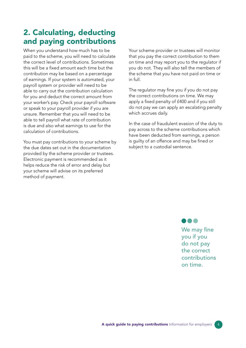# 2. Calculating, deducting and paying contributions

When you understand how much has to be paid to the scheme, you will need to calculate the correct level of contributions. Sometimes this will be a fxed amount each time but the contribution may be based on a percentage of earnings. If your system is automated, your payroll system or provider will need to be able to carry out the contribution calculation for you and deduct the correct amount from your worker's pay. Check your payroll software or speak to your payroll provider if you are unsure. Remember that you will need to be able to tell payroll what rate of contribution is due and also what earnings to use for the calculation of contributions.

You must pay contributions to your scheme by the due dates set out in the documentation provided by the scheme provider or trustees. Electronic payment is recommended as it helps reduce the risk of error and delay but your scheme will advise on its preferred method of payment.

Your scheme provider or trustees will monitor that you pay the correct contribution to them on time and may report you to the regulator if you do not. They will also tell the members of the scheme that you have not paid on time or in full.

The regulator may fine you if you do not pay the correct contributions on time. We may apply a fixed penalty of £400 and if you still do not pay we can apply an escalating penalty which accrues daily.

In the case of fraudulent evasion of the duty to pay across to the scheme contributions which have been deducted from earnings, a person is guilty of an offence and may be fined or subject to a custodial sentence.

#### **...**

We may fine you if you do not pay the correct contributions on time.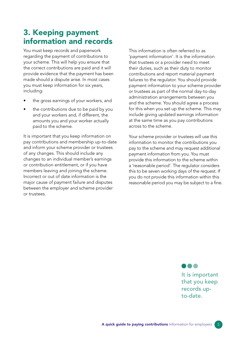### 3. Keeping payment information and records

You must keep records and paperwork regarding the payment of contributions to your scheme. This will help you ensure that the correct contributions are paid and it will provide evidence that the payment has been made should a dispute arise. In most cases you must keep information for six years, including:

- the gross earnings of your workers, and
- the contributions due to be paid by you and your workers and, if different, the amounts you and your worker actually paid to the scheme.

It is important that you keep information on pay contributions and membership up-to-date and inform your scheme provider or trustees of any changes. This should include any changes to an individual member's earnings or contribution entitlement, or if you have members leaving and joining the scheme. Incorrect or out of date information is the major cause of payment failure and disputes between the employer and scheme provider or trustees.

This information is often referred to as 'payment information'. It is the information that trustees or a provider need to meet their duties, such as their duty to monitor contributions and report material payment failures to the regulator. You should provide payment information to your scheme provider or trustees as part of the normal day-to-day administration arrangements between you and the scheme. You should agree a process for this when you set up the scheme. This may include giving updated earnings information at the same time as you pay contributions across to the scheme.

Your scheme provider or trustees will use this information to monitor the contributions you pay to the scheme and may request additional payment information from you. You must provide this information to the scheme within a 'reasonable period'. The regulator considers this to be seven working days of the request. If you do not provide this information within this reasonable period you may be subject to a fine.

> It is important that you keep records upto-date.